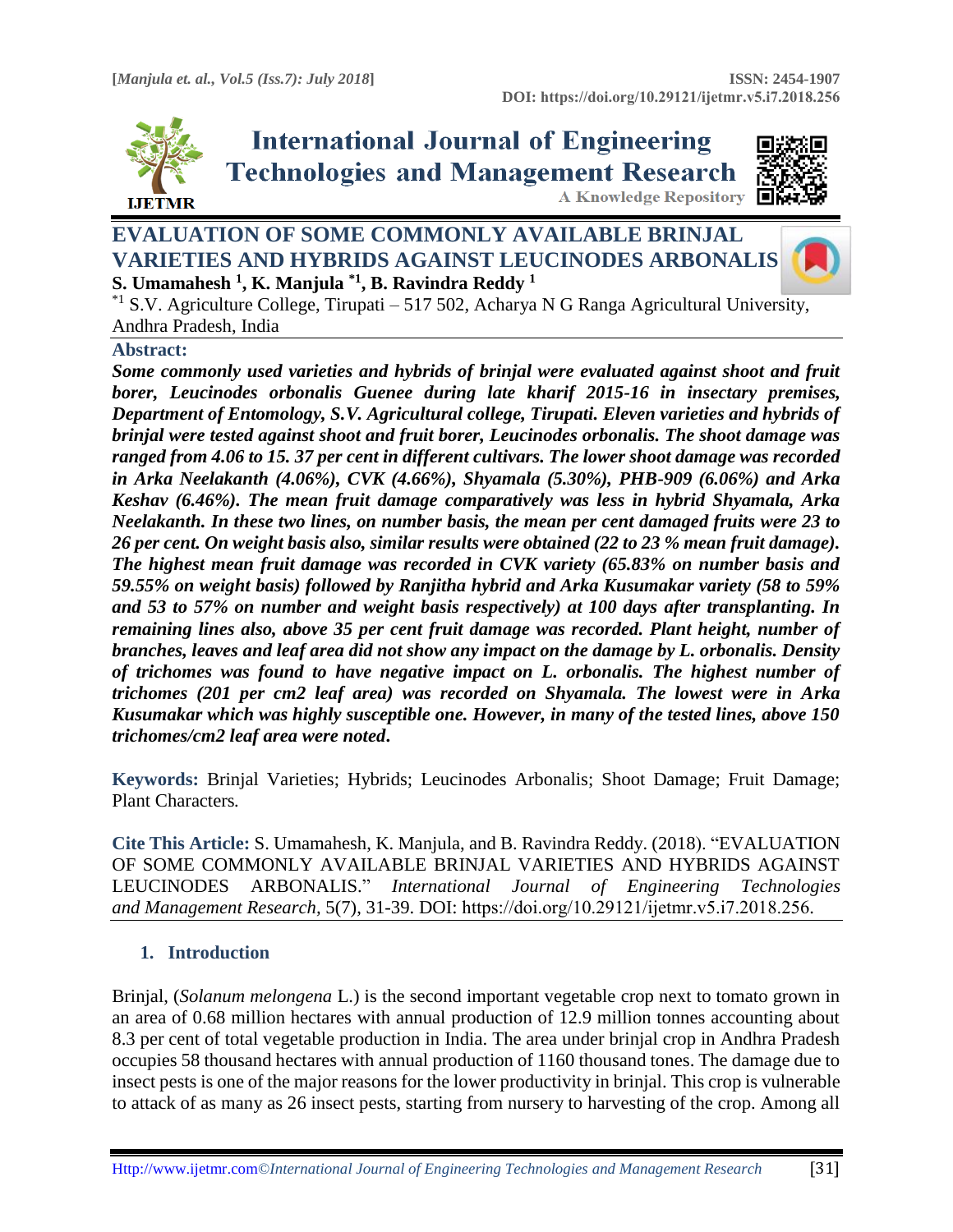

**International Journal of Engineering Technologies and Management Research** 



# **EVALUATION OF SOME COMMONLY AVAILABLE BRINJAL VARIETIES AND HYBRIDS AGAINST LEUCINODES ARBONALIS S. Umamahesh <sup>1</sup> , K. Manjula \*1, B. Ravindra Reddy <sup>1</sup>**



<sup>\*1</sup> S.V. Agriculture College, Tirupati – 517 502, Acharya N G Ranga Agricultural University, Andhra Pradesh, India

#### **Abstract:**

*Some commonly used varieties and hybrids of brinjal were evaluated against shoot and fruit borer, Leucinodes orbonalis Guenee during late kharif 2015-16 in insectary premises, Department of Entomology, S.V. Agricultural college, Tirupati. Eleven varieties and hybrids of brinjal were tested against shoot and fruit borer, Leucinodes orbonalis. The shoot damage was ranged from 4.06 to 15. 37 per cent in different cultivars. The lower shoot damage was recorded in Arka Neelakanth (4.06%), CVK (4.66%), Shyamala (5.30%), PHB-909 (6.06%) and Arka Keshav (6.46%). The mean fruit damage comparatively was less in hybrid Shyamala, Arka Neelakanth. In these two lines, on number basis, the mean per cent damaged fruits were 23 to 26 per cent. On weight basis also, similar results were obtained (22 to 23 % mean fruit damage). The highest mean fruit damage was recorded in CVK variety (65.83% on number basis and 59.55% on weight basis) followed by Ranjitha hybrid and Arka Kusumakar variety (58 to 59% and 53 to 57% on number and weight basis respectively) at 100 days after transplanting. In remaining lines also, above 35 per cent fruit damage was recorded. Plant height, number of branches, leaves and leaf area did not show any impact on the damage by L. orbonalis. Density of trichomes was found to have negative impact on L. orbonalis. The highest number of trichomes (201 per cm2 leaf area) was recorded on Shyamala. The lowest were in Arka Kusumakar which was highly susceptible one. However, in many of the tested lines, above 150 trichomes/cm2 leaf area were noted***.**

**Keywords:** Brinjal Varieties; Hybrids; Leucinodes Arbonalis; Shoot Damage; Fruit Damage; Plant Characters*.* 

**Cite This Article:** S. Umamahesh, K. Manjula, and B. Ravindra Reddy. (2018). "EVALUATION OF SOME COMMONLY AVAILABLE BRINJAL VARIETIES AND HYBRIDS AGAINST LEUCINODES ARBONALIS." *International Journal of Engineering Technologies and Management Research,* 5(7), 31-39. DOI: https://doi.org/10.29121/ijetmr.v5.i7.2018.256.

## **1. Introduction**

Brinjal, (*Solanum melongena* L.) is the second important vegetable crop next to tomato grown in an area of 0.68 million hectares with annual production of 12.9 million tonnes accounting about 8.3 per cent of total vegetable production in India. The area under brinjal crop in Andhra Pradesh occupies 58 thousand hectares with annual production of 1160 thousand tones. The damage due to insect pests is one of the major reasons for the lower productivity in brinjal. This crop is vulnerable to attack of as many as 26 insect pests, starting from nursery to harvesting of the crop. Among all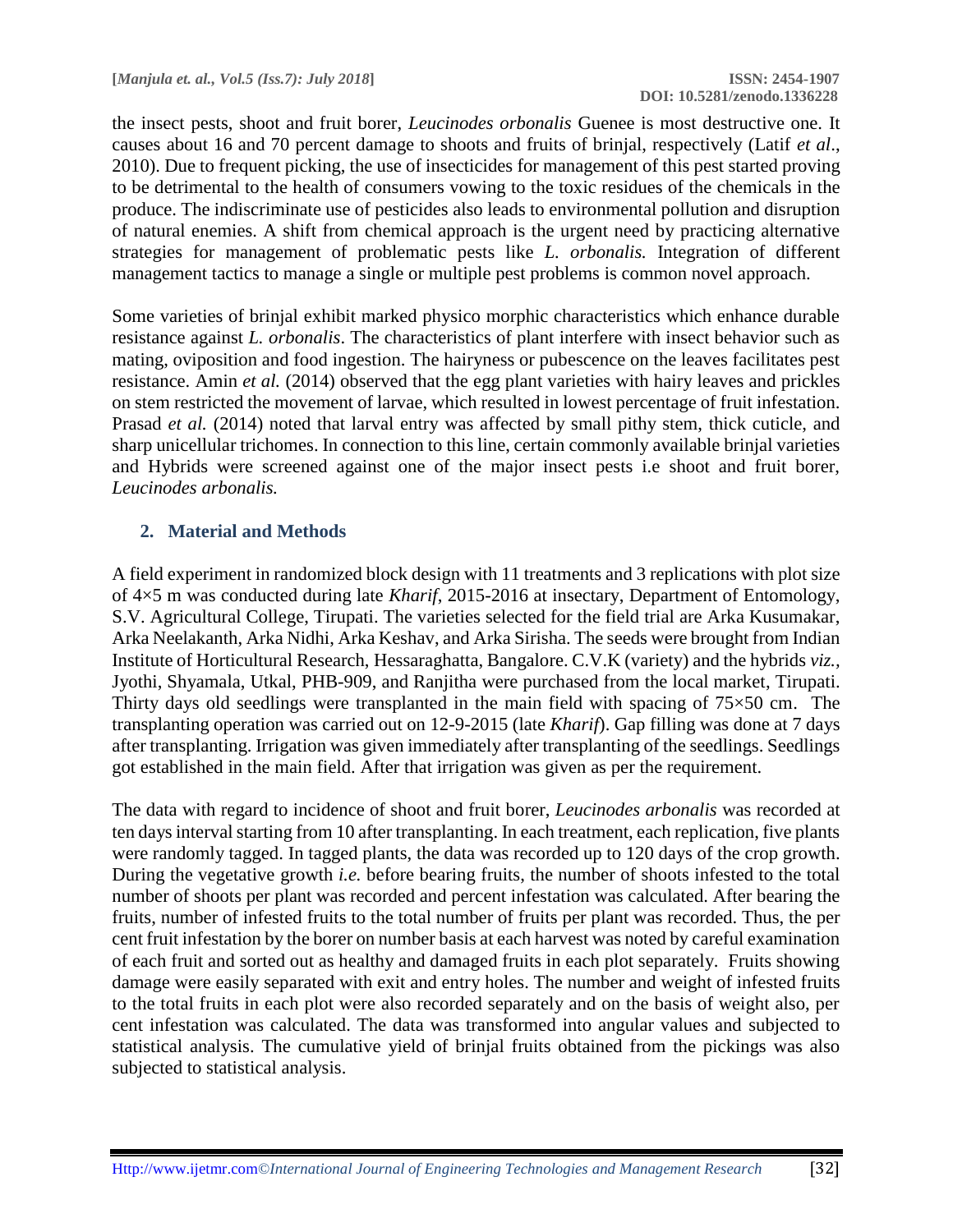the insect pests, shoot and fruit borer, *Leucinodes orbonalis* Guenee is most destructive one. It causes about 16 and 70 percent damage to shoots and fruits of brinjal, respectively (Latif *et al*., 2010). Due to frequent picking, the use of insecticides for management of this pest started proving to be detrimental to the health of consumers vowing to the toxic residues of the chemicals in the produce. The indiscriminate use of pesticides also leads to environmental pollution and disruption of natural enemies. A shift from chemical approach is the urgent need by practicing alternative strategies for management of problematic pests like *L. orbonalis.* Integration of different management tactics to manage a single or multiple pest problems is common novel approach.

Some varieties of brinjal exhibit marked physico morphic characteristics which enhance durable resistance against *L. orbonalis*. The characteristics of plant interfere with insect behavior such as mating, oviposition and food ingestion. The hairyness or pubescence on the leaves facilitates pest resistance. Amin *et al.* (2014) observed that the egg plant varieties with hairy leaves and prickles on stem restricted the movement of larvae, which resulted in lowest percentage of fruit infestation. Prasad *et al.* (2014) noted that larval entry was affected by small pithy stem, thick cuticle, and sharp unicellular trichomes. In connection to this line, certain commonly available brinjal varieties and Hybrids were screened against one of the major insect pests i.e shoot and fruit borer, *Leucinodes arbonalis.*

## **2. Material and Methods**

A field experiment in randomized block design with 11 treatments and 3 replications with plot size of 4×5 m was conducted during late *Kharif*, 2015-2016 at insectary, Department of Entomology, S.V. Agricultural College, Tirupati. The varieties selected for the field trial are Arka Kusumakar, Arka Neelakanth, Arka Nidhi, Arka Keshav, and Arka Sirisha. The seeds were brought from Indian Institute of Horticultural Research, Hessaraghatta, Bangalore. C.V.K (variety) and the hybrids *viz.,* Jyothi, Shyamala, Utkal, PHB-909, and Ranjitha were purchased from the local market, Tirupati. Thirty days old seedlings were transplanted in the main field with spacing of  $75\times50$  cm. The transplanting operation was carried out on 12-9-2015 (late *Kharif*). Gap filling was done at 7 days after transplanting. Irrigation was given immediately after transplanting of the seedlings. Seedlings got established in the main field. After that irrigation was given as per the requirement.

The data with regard to incidence of shoot and fruit borer, *Leucinodes arbonalis* was recorded at ten days interval starting from 10 after transplanting. In each treatment, each replication, five plants were randomly tagged. In tagged plants, the data was recorded up to 120 days of the crop growth. During the vegetative growth *i.e.* before bearing fruits, the number of shoots infested to the total number of shoots per plant was recorded and percent infestation was calculated. After bearing the fruits, number of infested fruits to the total number of fruits per plant was recorded. Thus, the per cent fruit infestation by the borer on number basis at each harvest was noted by careful examination of each fruit and sorted out as healthy and damaged fruits in each plot separately. Fruits showing damage were easily separated with exit and entry holes. The number and weight of infested fruits to the total fruits in each plot were also recorded separately and on the basis of weight also, per cent infestation was calculated. The data was transformed into angular values and subjected to statistical analysis. The cumulative yield of brinjal fruits obtained from the pickings was also subjected to statistical analysis.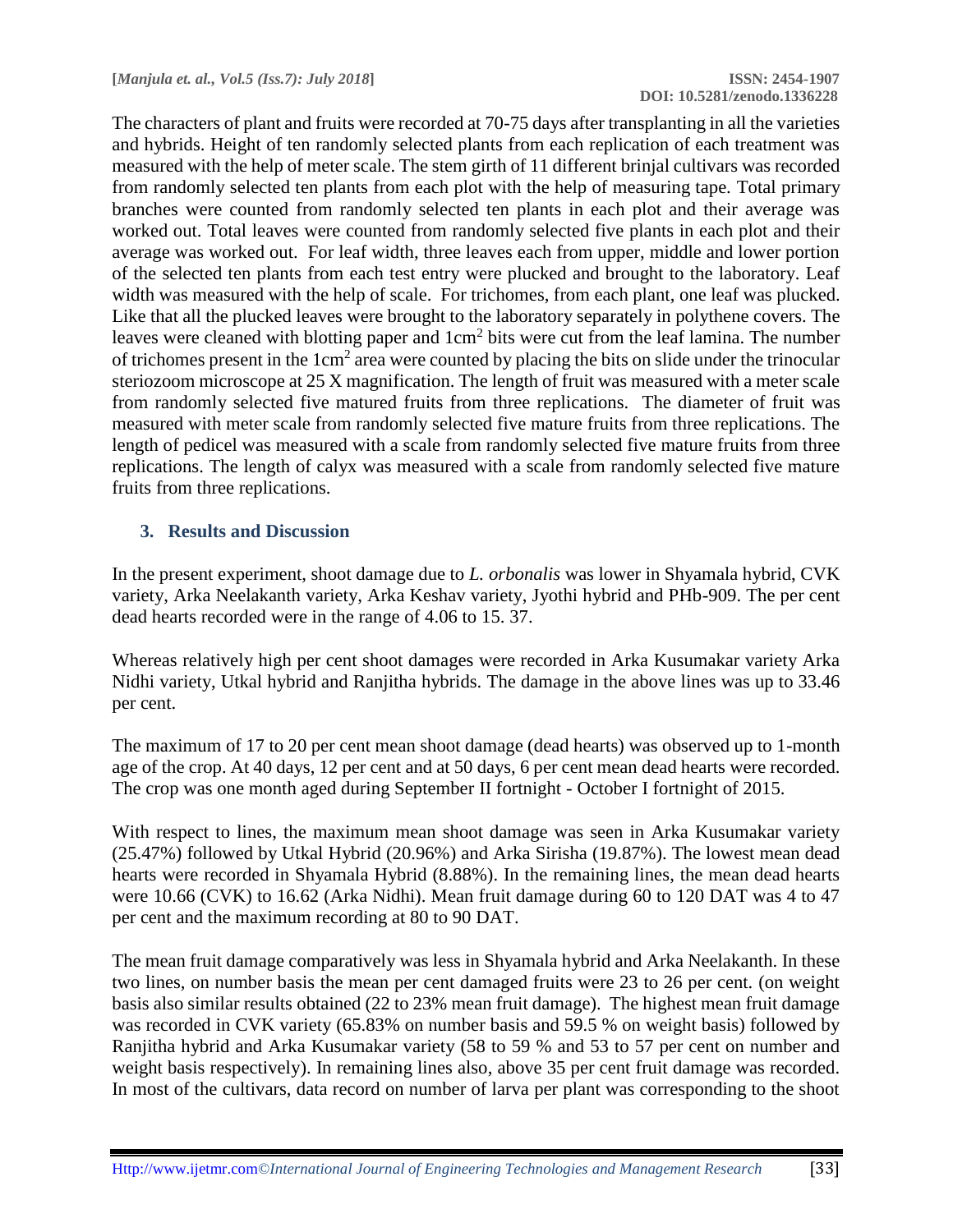The characters of plant and fruits were recorded at 70-75 days after transplanting in all the varieties and hybrids. Height of ten randomly selected plants from each replication of each treatment was measured with the help of meter scale. The stem girth of 11 different brinjal cultivars was recorded from randomly selected ten plants from each plot with the help of measuring tape. Total primary branches were counted from randomly selected ten plants in each plot and their average was worked out. Total leaves were counted from randomly selected five plants in each plot and their average was worked out. For leaf width, three leaves each from upper, middle and lower portion of the selected ten plants from each test entry were plucked and brought to the laboratory. Leaf width was measured with the help of scale. For trichomes, from each plant, one leaf was plucked. Like that all the plucked leaves were brought to the laboratory separately in polythene covers. The leaves were cleaned with blotting paper and  $1 \text{cm}^2$  bits were cut from the leaf lamina. The number of trichomes present in the  $1 \text{cm}^2$  area were counted by placing the bits on slide under the trinocular steriozoom microscope at 25 X magnification. The length of fruit was measured with a meter scale from randomly selected five matured fruits from three replications. The diameter of fruit was measured with meter scale from randomly selected five mature fruits from three replications. The length of pedicel was measured with a scale from randomly selected five mature fruits from three replications. The length of calyx was measured with a scale from randomly selected five mature fruits from three replications.

#### **3. Results and Discussion**

In the present experiment, shoot damage due to *L. orbonalis* was lower in Shyamala hybrid, CVK variety, Arka Neelakanth variety, Arka Keshav variety, Jyothi hybrid and PHb-909. The per cent dead hearts recorded were in the range of 4.06 to 15. 37.

Whereas relatively high per cent shoot damages were recorded in Arka Kusumakar variety Arka Nidhi variety, Utkal hybrid and Ranjitha hybrids. The damage in the above lines was up to 33.46 per cent.

The maximum of 17 to 20 per cent mean shoot damage (dead hearts) was observed up to 1-month age of the crop. At 40 days, 12 per cent and at 50 days, 6 per cent mean dead hearts were recorded. The crop was one month aged during September II fortnight - October I fortnight of 2015.

With respect to lines, the maximum mean shoot damage was seen in Arka Kusumakar variety (25.47%) followed by Utkal Hybrid (20.96%) and Arka Sirisha (19.87%). The lowest mean dead hearts were recorded in Shyamala Hybrid (8.88%). In the remaining lines, the mean dead hearts were 10.66 (CVK) to 16.62 (Arka Nidhi). Mean fruit damage during 60 to 120 DAT was 4 to 47 per cent and the maximum recording at 80 to 90 DAT.

The mean fruit damage comparatively was less in Shyamala hybrid and Arka Neelakanth. In these two lines, on number basis the mean per cent damaged fruits were 23 to 26 per cent. (on weight basis also similar results obtained (22 to 23% mean fruit damage). The highest mean fruit damage was recorded in CVK variety (65.83% on number basis and 59.5 % on weight basis) followed by Ranjitha hybrid and Arka Kusumakar variety (58 to 59 % and 53 to 57 per cent on number and weight basis respectively). In remaining lines also, above 35 per cent fruit damage was recorded. In most of the cultivars, data record on number of larva per plant was corresponding to the shoot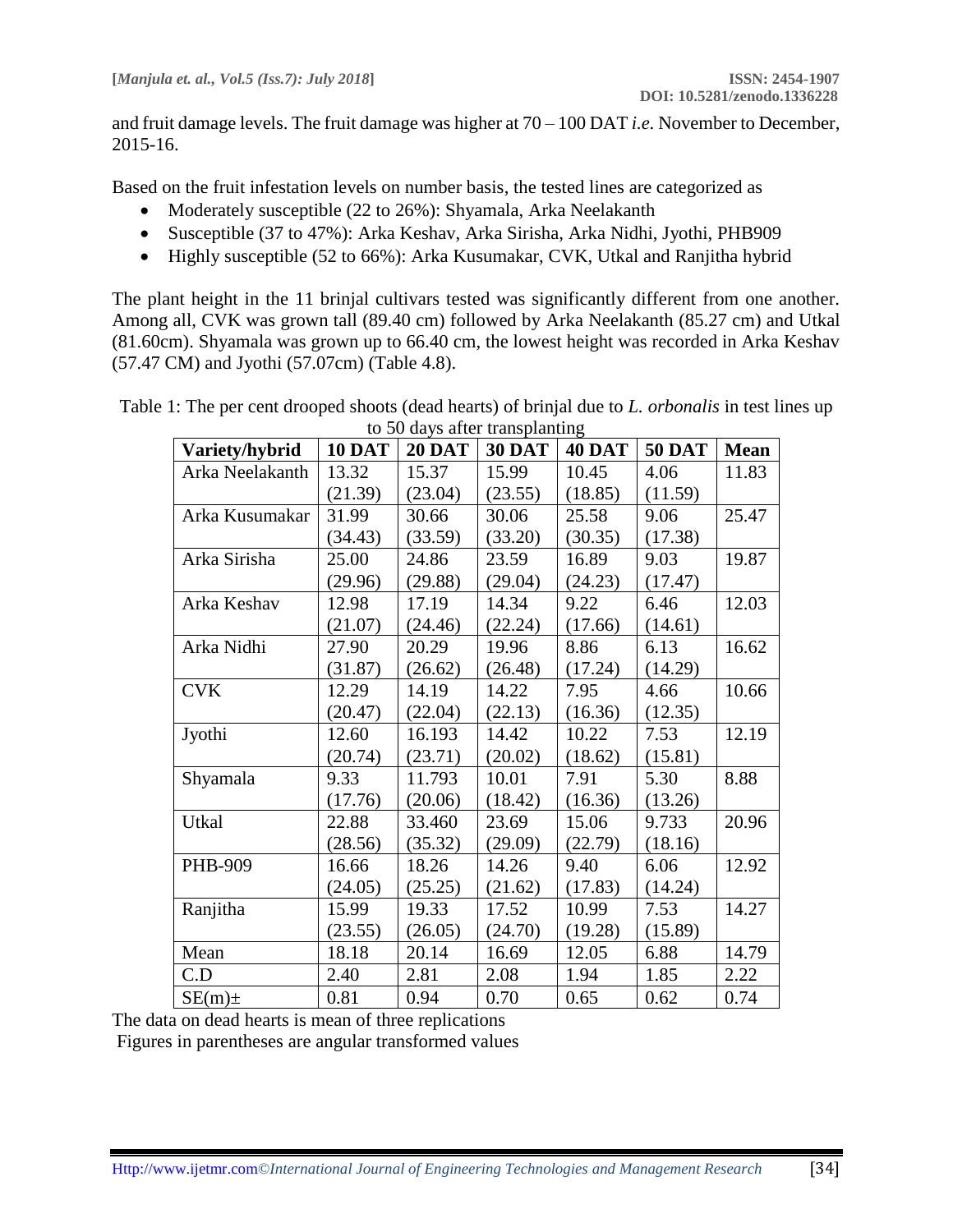and fruit damage levels. The fruit damage was higher at 70 – 100 DAT *i.e.* November to December, 2015-16.

Based on the fruit infestation levels on number basis, the tested lines are categorized as

- Moderately susceptible (22 to 26%): Shyamala, Arka Neelakanth
- Susceptible (37 to 47%): Arka Keshav, Arka Sirisha, Arka Nidhi, Jyothi, PHB909
- Highly susceptible (52 to 66%): Arka Kusumakar, CVK, Utkal and Ranjitha hybrid

The plant height in the 11 brinjal cultivars tested was significantly different from one another. Among all, CVK was grown tall (89.40 cm) followed by Arka Neelakanth (85.27 cm) and Utkal (81.60cm). Shyamala was grown up to 66.40 cm, the lowest height was recorded in Arka Keshav (57.47 CM) and Jyothi (57.07cm) (Table 4.8).

Table 1: The per cent drooped shoots (dead hearts) of brinjal due to *L. orbonalis* in test lines up to 50 days after transplanting

| Variety/hybrid  | <b>10 DAT</b> | <b>20 DAT</b> | <b>30 DAT</b> | <b>40 DAT</b> | <b>50 DAT</b> | <b>Mean</b> |
|-----------------|---------------|---------------|---------------|---------------|---------------|-------------|
| Arka Neelakanth | 13.32         | 15.37         | 15.99         | 10.45         | 4.06          | 11.83       |
|                 | (21.39)       | (23.04)       | (23.55)       | (18.85)       | (11.59)       |             |
| Arka Kusumakar  | 31.99         | 30.66         | 30.06         | 25.58         | 9.06          | 25.47       |
|                 | (34.43)       | (33.59)       | (33.20)       | (30.35)       | (17.38)       |             |
| Arka Sirisha    | 25.00         | 24.86         | 23.59         | 16.89         | 9.03          | 19.87       |
|                 | (29.96)       | (29.88)       | (29.04)       | (24.23)       | (17.47)       |             |
| Arka Keshav     | 12.98         | 17.19         | 14.34         | 9.22          | 6.46          | 12.03       |
|                 | (21.07)       | (24.46)       | (22.24)       | (17.66)       | (14.61)       |             |
| Arka Nidhi      | 27.90         | 20.29         | 19.96         | 8.86          | 6.13          | 16.62       |
|                 | (31.87)       | (26.62)       | (26.48)       | (17.24)       | (14.29)       |             |
| <b>CVK</b>      | 12.29         | 14.19         | 14.22         | 7.95          | 4.66          | 10.66       |
|                 | (20.47)       | (22.04)       | (22.13)       | (16.36)       | (12.35)       |             |
| Jyothi          | 12.60         | 16.193        | 14.42         | 10.22         | 7.53          | 12.19       |
|                 | (20.74)       | (23.71)       | (20.02)       | (18.62)       | (15.81)       |             |
| Shyamala        | 9.33          | 11.793        | 10.01         | 7.91          | 5.30          | 8.88        |
|                 | (17.76)       | (20.06)       | (18.42)       | (16.36)       | (13.26)       |             |
| Utkal           | 22.88         | 33.460        | 23.69         | 15.06         | 9.733         | 20.96       |
|                 | (28.56)       | (35.32)       | (29.09)       | (22.79)       | (18.16)       |             |
| PHB-909         | 16.66         | 18.26         | 14.26         | 9.40          | 6.06          | 12.92       |
|                 | (24.05)       | (25.25)       | (21.62)       | (17.83)       | (14.24)       |             |
| Ranjitha        | 15.99         | 19.33         | 17.52         | 10.99         | 7.53          | 14.27       |
|                 | (23.55)       | (26.05)       | (24.70)       | (19.28)       | (15.89)       |             |
| Mean            | 18.18         | 20.14         | 16.69         | 12.05         | 6.88          | 14.79       |
| C.D             | 2.40          | 2.81          | 2.08          | 1.94          | 1.85          | 2.22        |
| $SE(m)$ ±       | 0.81          | 0.94          | 0.70          | 0.65          | 0.62          | 0.74        |

The data on dead hearts is mean of three replications

Figures in parentheses are angular transformed values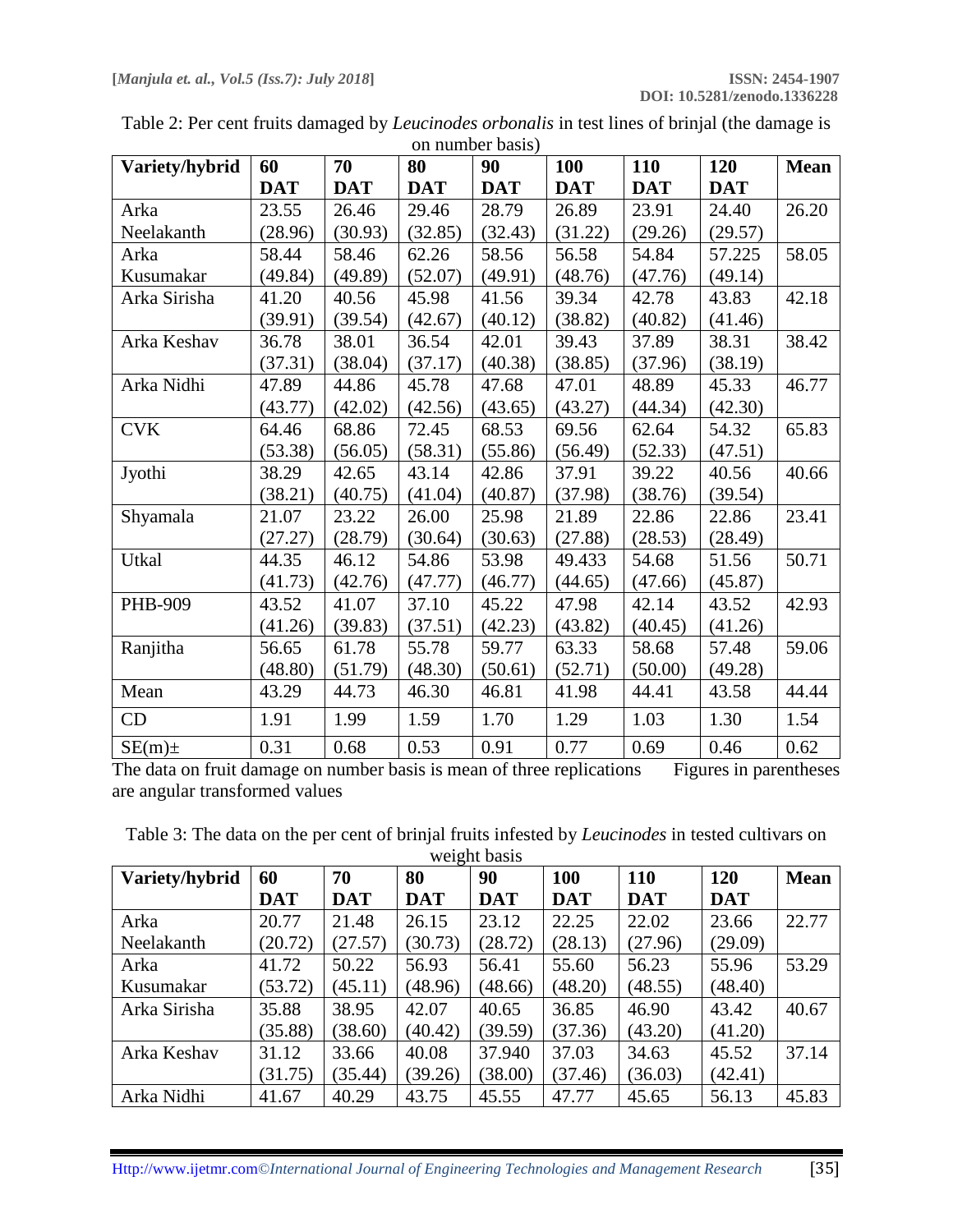|                | $\sigma$ - $\sigma$ - $\sigma$ - $\sigma$ - $\sigma$ - $\sigma$ |            |            |            |            |            |            |             |  |
|----------------|-----------------------------------------------------------------|------------|------------|------------|------------|------------|------------|-------------|--|
| Variety/hybrid | 60                                                              | 70         | 80         | 90         | <b>100</b> | 110        | 120        | <b>Mean</b> |  |
|                | <b>DAT</b>                                                      | <b>DAT</b> | <b>DAT</b> | <b>DAT</b> | <b>DAT</b> | <b>DAT</b> | <b>DAT</b> |             |  |
| Arka           | 23.55                                                           | 26.46      | 29.46      | 28.79      | 26.89      | 23.91      | 24.40      | 26.20       |  |
| Neelakanth     | (28.96)                                                         | (30.93)    | (32.85)    | (32.43)    | (31.22)    | (29.26)    | (29.57)    |             |  |
| Arka           | 58.44                                                           | 58.46      | 62.26      | 58.56      | 56.58      | 54.84      | 57.225     | 58.05       |  |
| Kusumakar      | (49.84)                                                         | (49.89)    | (52.07)    | (49.91)    | (48.76)    | (47.76)    | (49.14)    |             |  |
| Arka Sirisha   | 41.20                                                           | 40.56      | 45.98      | 41.56      | 39.34      | 42.78      | 43.83      | 42.18       |  |
|                | (39.91)                                                         | (39.54)    | (42.67)    | (40.12)    | (38.82)    | (40.82)    | (41.46)    |             |  |
| Arka Keshav    | 36.78                                                           | 38.01      | 36.54      | 42.01      | 39.43      | 37.89      | 38.31      | 38.42       |  |
|                | (37.31)                                                         | (38.04)    | (37.17)    | (40.38)    | (38.85)    | (37.96)    | (38.19)    |             |  |
| Arka Nidhi     | 47.89                                                           | 44.86      | 45.78      | 47.68      | 47.01      | 48.89      | 45.33      | 46.77       |  |
|                | (43.77)                                                         | (42.02)    | (42.56)    | (43.65)    | (43.27)    | (44.34)    | (42.30)    |             |  |
| <b>CVK</b>     | 64.46                                                           | 68.86      | 72.45      | 68.53      | 69.56      | 62.64      | 54.32      | 65.83       |  |
|                | (53.38)                                                         | (56.05)    | (58.31)    | (55.86)    | (56.49)    | (52.33)    | (47.51)    |             |  |
| Jyothi         | 38.29                                                           | 42.65      | 43.14      | 42.86      | 37.91      | 39.22      | 40.56      | 40.66       |  |
|                | (38.21)                                                         | (40.75)    | (41.04)    | (40.87)    | (37.98)    | (38.76)    | (39.54)    |             |  |
| Shyamala       | 21.07                                                           | 23.22      | 26.00      | 25.98      | 21.89      | 22.86      | 22.86      | 23.41       |  |
|                | (27.27)                                                         | (28.79)    | (30.64)    | (30.63)    | (27.88)    | (28.53)    | (28.49)    |             |  |
| Utkal          | 44.35                                                           | 46.12      | 54.86      | 53.98      | 49.433     | 54.68      | 51.56      | 50.71       |  |
|                | (41.73)                                                         | (42.76)    | (47.77)    | (46.77)    | (44.65)    | (47.66)    | (45.87)    |             |  |
| PHB-909        | 43.52                                                           | 41.07      | 37.10      | 45.22      | 47.98      | 42.14      | 43.52      | 42.93       |  |
|                | (41.26)                                                         | (39.83)    | (37.51)    | (42.23)    | (43.82)    | (40.45)    | (41.26)    |             |  |
| Ranjitha       | 56.65                                                           | 61.78      | 55.78      | 59.77      | 63.33      | 58.68      | 57.48      | 59.06       |  |
|                | (48.80)                                                         | (51.79)    | (48.30)    | (50.61)    | (52.71)    | (50.00)    | (49.28)    |             |  |
| Mean           | 43.29                                                           | 44.73      | 46.30      | 46.81      | 41.98      | 44.41      | 43.58      | 44.44       |  |
| CD             | 1.91                                                            | 1.99       | 1.59       | 1.70       | 1.29       | 1.03       | 1.30       | 1.54        |  |
| $SE(m) \pm$    | 0.31                                                            | 0.68       | 0.53       | 0.91       | 0.77       | 0.69       | 0.46       | 0.62        |  |

Table 2: Per cent fruits damaged by *Leucinodes orbonalis* in test lines of brinjal (the damage is on number basis)

The data on fruit damage on number basis is mean of three replications Figures in parentheses are angular transformed values

Table 3: The data on the per cent of brinjal fruits infested by *Leucinodes* in tested cultivars on weight basis

| Variety/hybrid | 60         | 70         | 80         | 90         | 100        | 110        | 120        | <b>Mean</b> |
|----------------|------------|------------|------------|------------|------------|------------|------------|-------------|
|                | <b>DAT</b> | <b>DAT</b> | <b>DAT</b> | <b>DAT</b> | <b>DAT</b> | <b>DAT</b> | <b>DAT</b> |             |
| Arka           | 20.77      | 21.48      | 26.15      | 23.12      | 22.25      | 22.02      | 23.66      | 22.77       |
| Neelakanth     | (20.72)    | (27.57)    | (30.73)    | (28.72)    | (28.13)    | (27.96)    | (29.09)    |             |
| Arka           | 41.72      | 50.22      | 56.93      | 56.41      | 55.60      | 56.23      | 55.96      | 53.29       |
| Kusumakar      | (53.72)    | (45.11)    | (48.96)    | (48.66)    | (48.20)    | (48.55)    | (48.40)    |             |
| Arka Sirisha   | 35.88      | 38.95      | 42.07      | 40.65      | 36.85      | 46.90      | 43.42      | 40.67       |
|                | (35.88)    | (38.60)    | (40.42)    | (39.59)    | (37.36)    | (43.20)    | (41.20)    |             |
| Arka Keshav    | 31.12      | 33.66      | 40.08      | 37.940     | 37.03      | 34.63      | 45.52      | 37.14       |
|                | (31.75)    | (35.44)    | (39.26)    | (38.00)    | (37.46)    | (36.03)    | (42.41)    |             |
| Arka Nidhi     | 41.67      | 40.29      | 43.75      | 45.55      | 47.77      | 45.65      | 56.13      | 45.83       |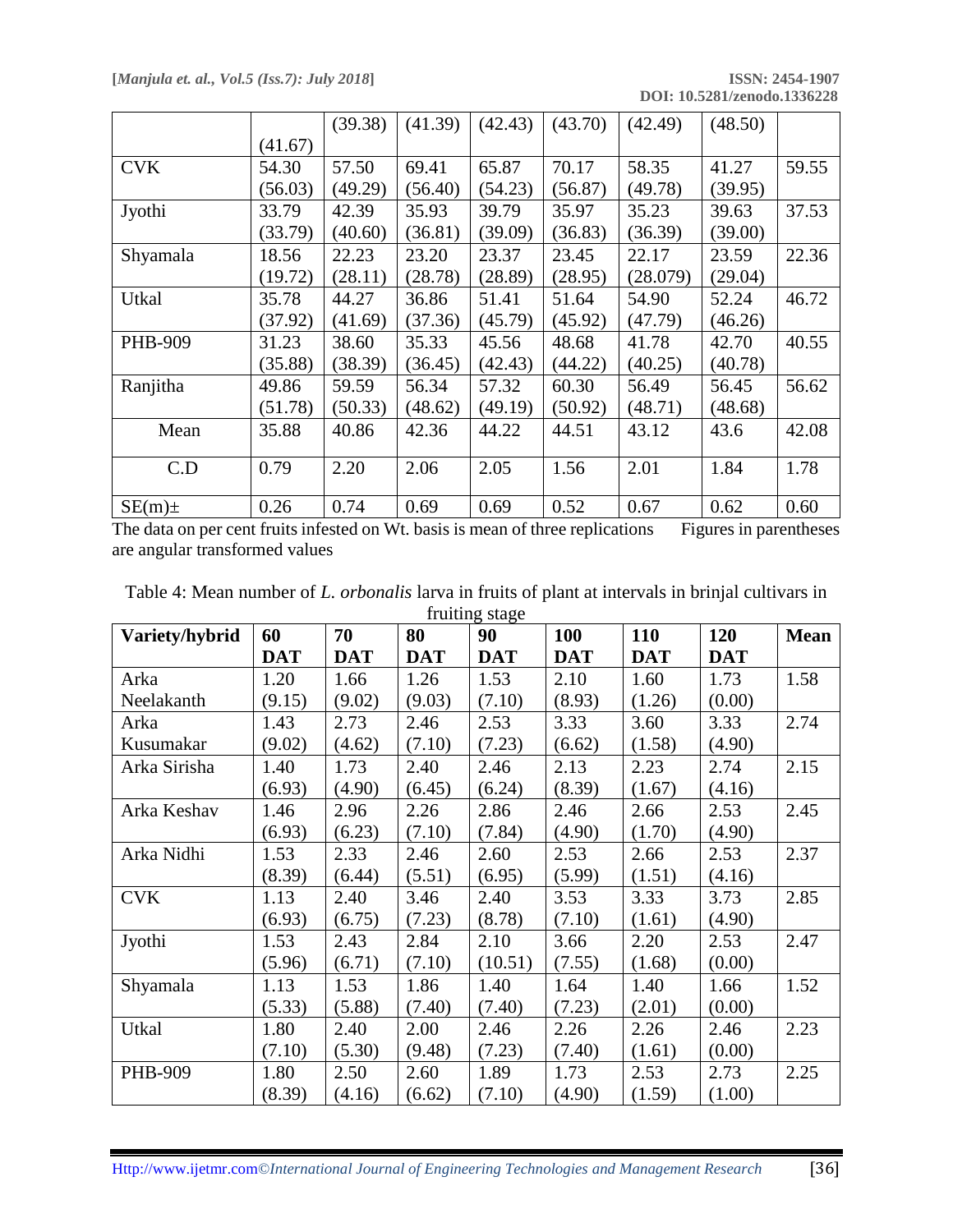**DOI: 10.5281/zenodo.1336228**

|            |         | (39.38) | (41.39) | (42.43) | (43.70) | (42.49)  | (48.50) |       |
|------------|---------|---------|---------|---------|---------|----------|---------|-------|
|            | (41.67) |         |         |         |         |          |         |       |
| <b>CVK</b> | 54.30   | 57.50   | 69.41   | 65.87   | 70.17   | 58.35    | 41.27   | 59.55 |
|            | (56.03) | (49.29) | (56.40) | (54.23) | (56.87) | (49.78)  | (39.95) |       |
| Jyothi     | 33.79   | 42.39   | 35.93   | 39.79   | 35.97   | 35.23    | 39.63   | 37.53 |
|            | (33.79) | (40.60) | (36.81) | (39.09) | (36.83) | (36.39)  | (39.00) |       |
| Shyamala   | 18.56   | 22.23   | 23.20   | 23.37   | 23.45   | 22.17    | 23.59   | 22.36 |
|            | (19.72) | (28.11) | (28.78) | (28.89) | (28.95) | (28.079) | (29.04) |       |
| Utkal      | 35.78   | 44.27   | 36.86   | 51.41   | 51.64   | 54.90    | 52.24   | 46.72 |
|            | (37.92) | (41.69) | (37.36) | (45.79) | (45.92) | (47.79)  | (46.26) |       |
| PHB-909    | 31.23   | 38.60   | 35.33   | 45.56   | 48.68   | 41.78    | 42.70   | 40.55 |
|            | (35.88) | (38.39) | (36.45) | (42.43) | (44.22) | (40.25)  | (40.78) |       |
| Ranjitha   | 49.86   | 59.59   | 56.34   | 57.32   | 60.30   | 56.49    | 56.45   | 56.62 |
|            | (51.78) | (50.33) | (48.62) | (49.19) | (50.92) | (48.71)  | (48.68) |       |
| Mean       | 35.88   | 40.86   | 42.36   | 44.22   | 44.51   | 43.12    | 43.6    | 42.08 |
|            |         |         |         |         |         |          |         |       |
| C.D        | 0.79    | 2.20    | 2.06    | 2.05    | 1.56    | 2.01     | 1.84    | 1.78  |
| $SE(m)$ ±  | 0.26    | 0.74    | 0.69    | 0.69    | 0.52    | 0.67     | 0.62    | 0.60  |

The data on per cent fruits infested on Wt. basis is mean of three replications Figures in parentheses are angular transformed values

| Variety/hybrid | 60         | 70         | 80         | 90         | 100        | 110        | 120        | <b>Mean</b> |
|----------------|------------|------------|------------|------------|------------|------------|------------|-------------|
|                | <b>DAT</b> | <b>DAT</b> | <b>DAT</b> | <b>DAT</b> | <b>DAT</b> | <b>DAT</b> | <b>DAT</b> |             |
| Arka           | 1.20       | 1.66       | 1.26       | 1.53       | 2.10       | 1.60       | 1.73       | 1.58        |
| Neelakanth     | (9.15)     | (9.02)     | (9.03)     | (7.10)     | (8.93)     | (1.26)     | (0.00)     |             |
| Arka           | 1.43       | 2.73       | 2.46       | 2.53       | 3.33       | 3.60       | 3.33       | 2.74        |
| Kusumakar      | (9.02)     | (4.62)     | (7.10)     | (7.23)     | (6.62)     | (1.58)     | (4.90)     |             |
| Arka Sirisha   | 1.40       | 1.73       | 2.40       | 2.46       | 2.13       | 2.23       | 2.74       | 2.15        |
|                | (6.93)     | (4.90)     | (6.45)     | (6.24)     | (8.39)     | (1.67)     | (4.16)     |             |
| Arka Keshav    | 1.46       | 2.96       | 2.26       | 2.86       | 2.46       | 2.66       | 2.53       | 2.45        |
|                | (6.93)     | (6.23)     | (7.10)     | (7.84)     | (4.90)     | (1.70)     | (4.90)     |             |
| Arka Nidhi     | 1.53       | 2.33       | 2.46       | 2.60       | 2.53       | 2.66       | 2.53       | 2.37        |
|                | (8.39)     | (6.44)     | (5.51)     | (6.95)     | (5.99)     | (1.51)     | (4.16)     |             |
| <b>CVK</b>     | 1.13       | 2.40       | 3.46       | 2.40       | 3.53       | 3.33       | 3.73       | 2.85        |
|                | (6.93)     | (6.75)     | (7.23)     | (8.78)     | (7.10)     | (1.61)     | (4.90)     |             |
| Jyothi         | 1.53       | 2.43       | 2.84       | 2.10       | 3.66       | 2.20       | 2.53       | 2.47        |
|                | (5.96)     | (6.71)     | (7.10)     | (10.51)    | (7.55)     | (1.68)     | (0.00)     |             |
| Shyamala       | 1.13       | 1.53       | 1.86       | 1.40       | 1.64       | 1.40       | 1.66       | 1.52        |
|                | (5.33)     | (5.88)     | (7.40)     | (7.40)     | (7.23)     | (2.01)     | (0.00)     |             |
| Utkal          | 1.80       | 2.40       | 2.00       | 2.46       | 2.26       | 2.26       | 2.46       | 2.23        |
|                | (7.10)     | (5.30)     | (9.48)     | (7.23)     | (7.40)     | (1.61)     | (0.00)     |             |
| PHB-909        | 1.80       | 2.50       | 2.60       | 1.89       | 1.73       | 2.53       | 2.73       | 2.25        |
|                | (8.39)     | (4.16)     | (6.62)     | (7.10)     | (4.90)     | (1.59)     | (1.00)     |             |

Table 4: Mean number of *L. orbonalis* larva in fruits of plant at intervals in brinjal cultivars in fruiting stage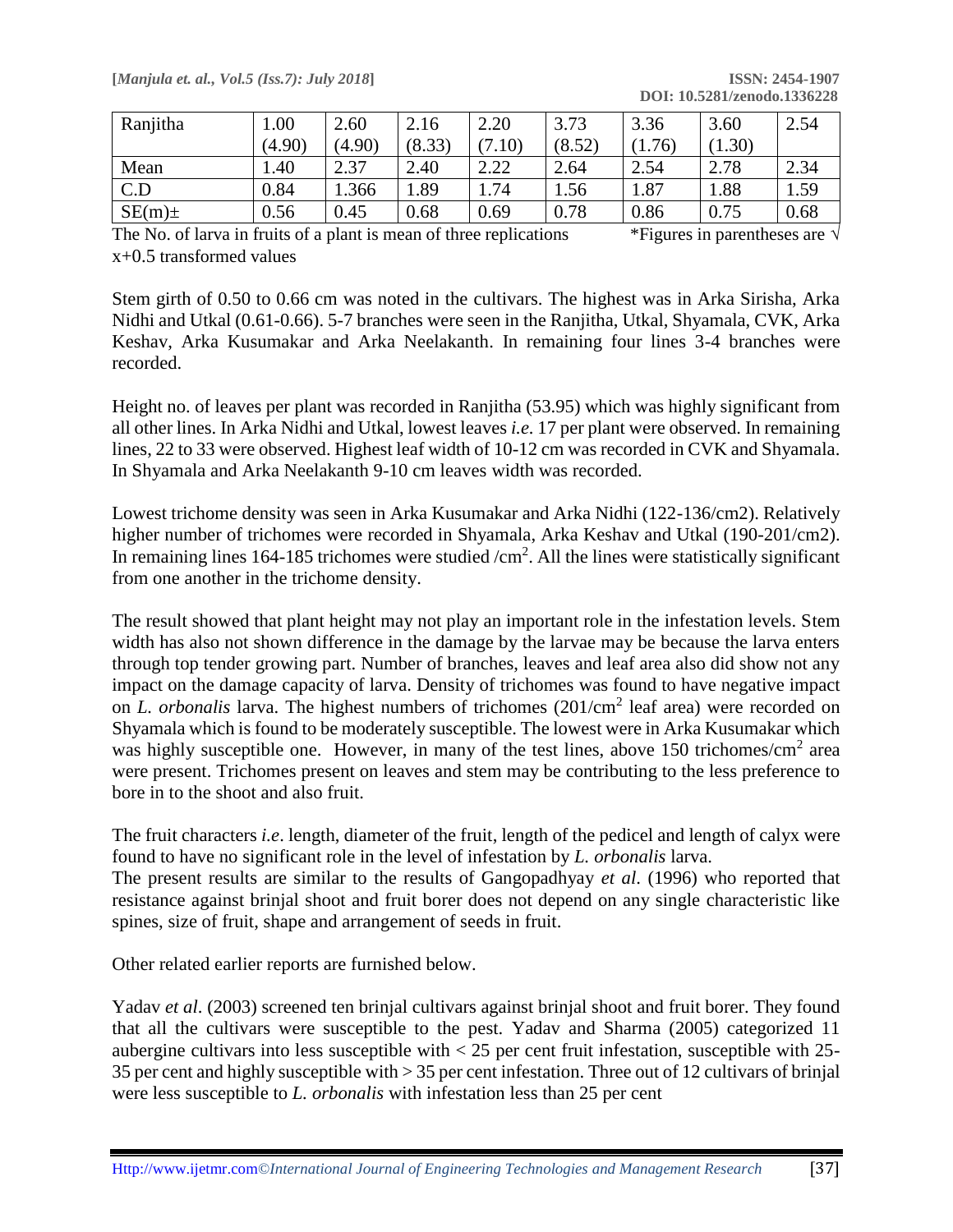| [Manjula et. al., Vol.5 (Iss.7): July 2018] | <b>ISSN: 2454-1907</b>      |
|---------------------------------------------|-----------------------------|
|                                             | DOI: 10.5281/zenodo.1336228 |

| Ranjitha  | 1.00   | 2.60   | 2.16   | 2.20        | 3.73   | 3.36   | 3.60   | 2.54 |
|-----------|--------|--------|--------|-------------|--------|--------|--------|------|
|           | (4.90) | (4.90) | (8.33) | (0.10)<br>7 | (8.52) | (1.76) | (1.30) |      |
| Mean      | .40    | 2.37   | 2.40   | 2.22        | 2.64   | 2.54   | 2.78   | 2.34 |
| C.D       | 0.84   | 1.366  | .89    | 1.74        | 1.56   | 1.87   | 1.88   | 1.59 |
| $SE(m)$ ± | 0.56   | 0.45   | 0.68   | 0.69        | 0.78   | 0.86   | 0.75   | 0.68 |

The No. of larva in fruits of a plant is mean of three replications \*Figures in parentheses are  $\sqrt{ }$ x+0.5 transformed values

Stem girth of 0.50 to 0.66 cm was noted in the cultivars. The highest was in Arka Sirisha, Arka Nidhi and Utkal (0.61-0.66). 5-7 branches were seen in the Ranjitha, Utkal, Shyamala, CVK, Arka Keshav, Arka Kusumakar and Arka Neelakanth. In remaining four lines 3-4 branches were recorded.

Height no. of leaves per plant was recorded in Ranjitha (53.95) which was highly significant from all other lines. In Arka Nidhi and Utkal, lowest leaves *i.e.* 17 per plant were observed. In remaining lines, 22 to 33 were observed. Highest leaf width of 10-12 cm was recorded in CVK and Shyamala. In Shyamala and Arka Neelakanth 9-10 cm leaves width was recorded.

Lowest trichome density was seen in Arka Kusumakar and Arka Nidhi (122-136/cm2). Relatively higher number of trichomes were recorded in Shyamala, Arka Keshav and Utkal (190-201/cm2). In remaining lines 164-185 trichomes were studied  $/cm<sup>2</sup>$ . All the lines were statistically significant from one another in the trichome density.

The result showed that plant height may not play an important role in the infestation levels. Stem width has also not shown difference in the damage by the larvae may be because the larva enters through top tender growing part. Number of branches, leaves and leaf area also did show not any impact on the damage capacity of larva. Density of trichomes was found to have negative impact on *L. orbonalis* larva. The highest numbers of trichomes (201/cm<sup>2</sup> leaf area) were recorded on Shyamala which is found to be moderately susceptible. The lowest were in Arka Kusumakar which was highly susceptible one. However, in many of the test lines, above 150 trichomes/cm<sup>2</sup> area were present. Trichomes present on leaves and stem may be contributing to the less preference to bore in to the shoot and also fruit.

The fruit characters *i.e*. length, diameter of the fruit, length of the pedicel and length of calyx were found to have no significant role in the level of infestation by *L. orbonalis* larva.

The present results are similar to the results of Gangopadhyay *et al*. (1996) who reported that resistance against brinjal shoot and fruit borer does not depend on any single characteristic like spines, size of fruit, shape and arrangement of seeds in fruit.

Other related earlier reports are furnished below.

Yadav *et al*. (2003) screened ten brinjal cultivars against brinjal shoot and fruit borer. They found that all the cultivars were susceptible to the pest. Yadav and Sharma (2005) categorized 11 aubergine cultivars into less susceptible with  $<$  25 per cent fruit infestation, susceptible with 25-35 per cent and highly susceptible with > 35 per cent infestation. Three out of 12 cultivars of brinjal were less susceptible to *L. orbonalis* with infestation less than 25 per cent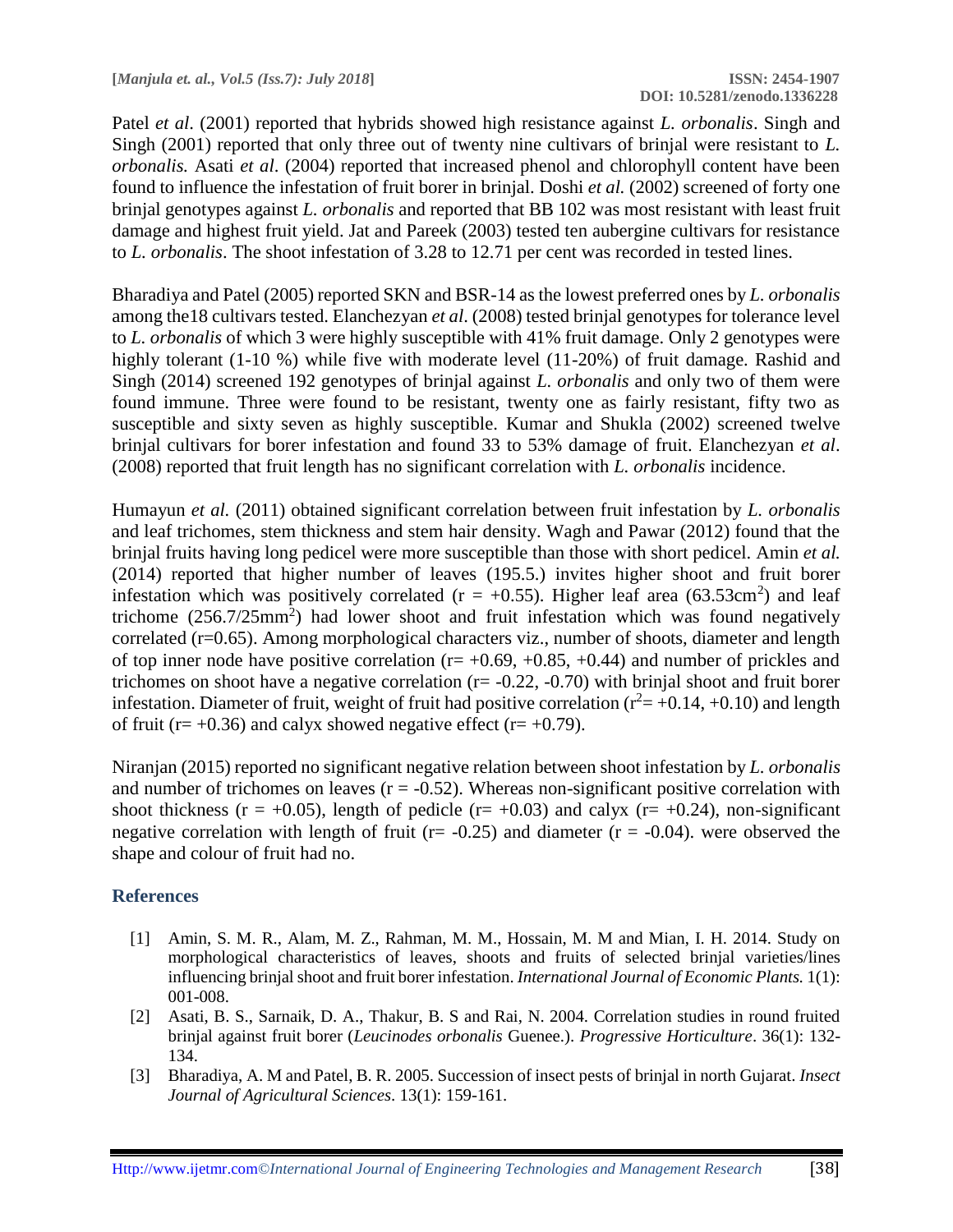Patel *et al*. (2001) reported that hybrids showed high resistance against *L. orbonalis*. Singh and Singh (2001) reported that only three out of twenty nine cultivars of brinjal were resistant to *L. orbonalis.* Asati *et al*. (2004) reported that increased phenol and chlorophyll content have been found to influence the infestation of fruit borer in brinjal. Doshi *et al.* (2002) screened of forty one brinjal genotypes against *L. orbonalis* and reported that BB 102 was most resistant with least fruit damage and highest fruit yield. Jat and Pareek (2003) tested ten aubergine cultivars for resistance to *L. orbonalis*. The shoot infestation of 3.28 to 12.71 per cent was recorded in tested lines.

Bharadiya and Patel (2005) reported SKN and BSR-14 as the lowest preferred ones by *L. orbonalis* among the18 cultivars tested. Elanchezyan *et al*. (2008) tested brinjal genotypes for tolerance level to *L. orbonalis* of which 3 were highly susceptible with 41% fruit damage. Only 2 genotypes were highly tolerant (1-10 %) while five with moderate level (11-20%) of fruit damage. Rashid and Singh (2014) screened 192 genotypes of brinjal against *L. orbonalis* and only two of them were found immune. Three were found to be resistant, twenty one as fairly resistant, fifty two as susceptible and sixty seven as highly susceptible. Kumar and Shukla (2002) screened twelve brinjal cultivars for borer infestation and found 33 to 53% damage of fruit. Elanchezyan *et al*. (2008) reported that fruit length has no significant correlation with *L. orbonalis* incidence.

Humayun *et al.* (2011) obtained significant correlation between fruit infestation by *L. orbonalis* and leaf trichomes, stem thickness and stem hair density. Wagh and Pawar (2012) found that the brinjal fruits having long pedicel were more susceptible than those with short pedicel. Amin *et al.* (2014) reported that higher number of leaves (195.5.) invites higher shoot and fruit borer infestation which was positively correlated ( $r = +0.55$ ). Higher leaf area (63.53cm<sup>2</sup>) and leaf trichome  $(256.7/25mm^2)$  had lower shoot and fruit infestation which was found negatively correlated (r=0.65). Among morphological characters viz., number of shoots, diameter and length of top inner node have positive correlation ( $r= +0.69, +0.85, +0.44$ ) and number of prickles and trichomes on shoot have a negative correlation ( $r = -0.22$ ,  $-0.70$ ) with brinial shoot and fruit borer infestation. Diameter of fruit, weight of fruit had positive correlation ( $r^2 = +0.14, +0.10$ ) and length of fruit ( $r = +0.36$ ) and calyx showed negative effect ( $r = +0.79$ ).

Niranjan (2015) reported no significant negative relation between shoot infestation by *L. orbonalis* and number of trichomes on leaves  $(r = -0.52)$ . Whereas non-significant positive correlation with shoot thickness ( $r = +0.05$ ), length of pedicle ( $r = +0.03$ ) and calyx ( $r = +0.24$ ), non-significant negative correlation with length of fruit ( $r = -0.25$ ) and diameter ( $r = -0.04$ ). were observed the shape and colour of fruit had no.

#### **References**

- [1] Amin, S. M. R., Alam, M. Z., Rahman, M. M., Hossain, M. M and Mian, I. H. 2014. Study on morphological characteristics of leaves, shoots and fruits of selected brinjal varieties/lines influencing brinjal shoot and fruit borer infestation. *International Journal of Economic Plants.* 1(1): 001-008.
- [2] Asati, B. S., Sarnaik, D. A., Thakur, B. S and Rai, N. 2004. Correlation studies in round fruited brinjal against fruit borer (*Leucinodes orbonalis* Guenee.). *Progressive Horticulture*. 36(1): 132- 134.
- [3] Bharadiya, A. M and Patel, B. R. 2005. Succession of insect pests of brinjal in north Gujarat. *Insect Journal of Agricultural Sciences*. 13(1): 159-161.